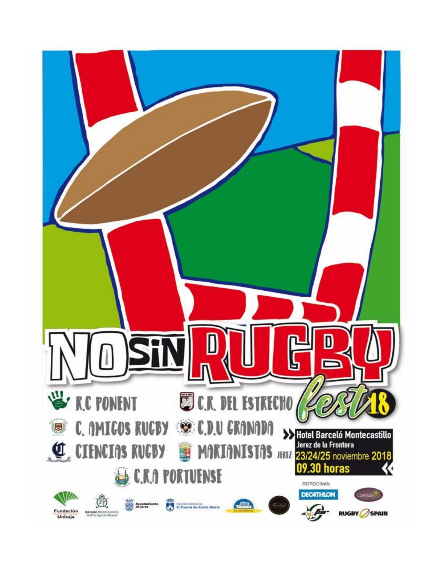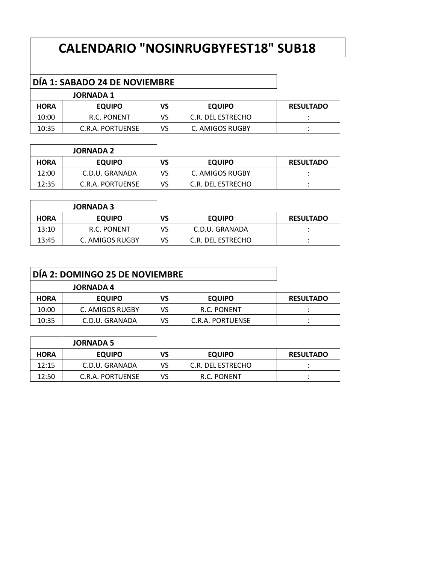# **CALENDARIO "NOSINRUGBYFEST18" SUB18**

## **DÍA 1: SABADO 24 DE NOVIEMBRE**

|             | <b>JORNADA 1</b> |    |                   |                  |
|-------------|------------------|----|-------------------|------------------|
| <b>HORA</b> | <b>EQUIPO</b>    | VS | <b>EQUIPO</b>     | <b>RESULTADO</b> |
| 10:00       | R.C. PONENT      | VS | C.R. DEL ESTRECHO |                  |
| 10:35       | C.R.A. PORTUENSE | VS | C. AMIGOS RUGBY   |                  |

|             | <b>JORNADA 2</b> |    |                   |                  |
|-------------|------------------|----|-------------------|------------------|
| <b>HORA</b> | <b>EQUIPO</b>    | VS | <b>EQUIPO</b>     | <b>RESULTADO</b> |
| 12:00       | C.D.U. GRANADA   | VS | C. AMIGOS RUGBY   |                  |
| 12:35       | C.R.A. PORTUENSE | VS | C.R. DEL ESTRECHO |                  |

|             | <b>JORNADA 3</b> |    |                   |                  |
|-------------|------------------|----|-------------------|------------------|
| <b>HORA</b> | <b>EQUIPO</b>    | VS | <b>EQUIPO</b>     | <b>RESULTADO</b> |
| 13:10       | R.C. PONENT      | ٧S | C.D.U. GRANADA    |                  |
| 13:45       | C. AMIGOS RUGBY  | VS | C.R. DEL ESTRECHO |                  |

| DIA 2: DOMINGO 25 DE NOVIEMBRE |                  |    |                  |  |                  |
|--------------------------------|------------------|----|------------------|--|------------------|
|                                | <b>JORNADA 4</b> |    |                  |  |                  |
| <b>HORA</b>                    | <b>EQUIPO</b>    | VS | <b>EQUIPO</b>    |  | <b>RESULTADO</b> |
| 10:00                          | C. AMIGOS RUGBY  | VS | R.C. PONENT      |  |                  |
| 10:35                          | C.D.U. GRANADA   | VS | C.R.A. PORTUENSE |  |                  |

|             | <b>JORNADA 5</b> |    |                   |                  |
|-------------|------------------|----|-------------------|------------------|
| <b>HORA</b> | <b>EQUIPO</b>    | VS | <b>EQUIPO</b>     | <b>RESULTADO</b> |
| 12:15       | C.D.U. GRANADA   | VS | C.R. DEL ESTRECHO |                  |
| 12:50       | C.R.A. PORTUENSE | VS | R.C. PONENT       |                  |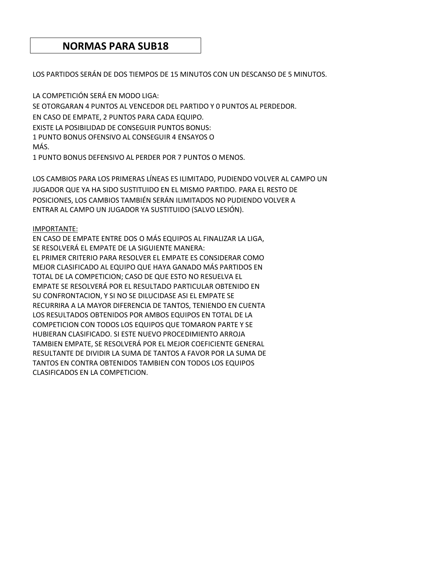### **NORMAS PARA SUB18**

LOS PARTIDOS SERÁN DE DOS TIEMPOS DE 15 MINUTOS CON UN DESCANSO DE 5 MINUTOS.

LA COMPETICIÓN SERÁ EN MODO LIGA: SE OTORGARAN 4 PUNTOS AL VENCEDOR DEL PARTIDO Y 0 PUNTOS AL PERDEDOR. EN CASO DE EMPATE, 2 PUNTOS PARA CADA EQUIPO. EXISTE LA POSIBILIDAD DE CONSEGUIR PUNTOS BONUS: 1 PUNTO BONUS OFENSIVO AL CONSEGUIR 4 ENSAYOS O MÁS.

1 PUNTO BONUS DEFENSIVO AL PERDER POR 7 PUNTOS O MENOS.

LOS CAMBIOS PARA LOS PRIMERAS LÍNEAS ES ILIMITADO, PUDIENDO VOLVER AL CAMPO UN JUGADOR QUE YA HA SIDO SUSTITUIDO EN EL MISMO PARTIDO. PARA EL RESTO DE POSICIONES, LOS CAMBIOS TAMBIÉN SERÁN ILIMITADOS NO PUDIENDO VOLVER A ENTRAR AL CAMPO UN JUGADOR YA SUSTITUIDO (SALVO LESIÓN).

#### IMPORTANTE:

EN CASO DE EMPATE ENTRE DOS O MÁS EQUIPOS AL FINALIZAR LA LIGA, SE RESOLVERÁ EL EMPATE DE LA SIGUIENTE MANERA: EL PRIMER CRITERIO PARA RESOLVER EL EMPATE ES CONSIDERAR COMO MEJOR CLASIFICADO AL EQUIPO QUE HAYA GANADO MÁS PARTIDOS EN TOTAL DE LA COMPETICION; CASO DE QUE ESTO NO RESUELVA EL EMPATE SE RESOLVERÁ POR EL RESULTADO PARTICULAR OBTENIDO EN SU CONFRONTACION, Y SI NO SE DILUCIDASE ASI EL EMPATE SE RECURRIRA A LA MAYOR DIFERENCIA DE TANTOS, TENIENDO EN CUENTA LOS RESULTADOS OBTENIDOS POR AMBOS EQUIPOS EN TOTAL DE LA COMPETICION CON TODOS LOS EQUIPOS QUE TOMARON PARTE Y SE HUBIERAN CLASIFICADO. SI ESTE NUEVO PROCEDIMIENTO ARROJA TAMBIEN EMPATE, SE RESOLVERÁ POR EL MEJOR COEFICIENTE GENERAL RESULTANTE DE DIVIDIR LA SUMA DE TANTOS A FAVOR POR LA SUMA DE TANTOS EN CONTRA OBTENIDOS TAMBIEN CON TODOS LOS EQUIPOS CLASIFICADOS EN LA COMPETICION.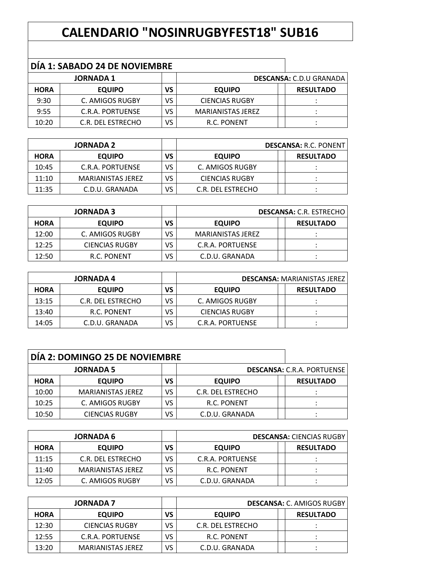## **CALENDARIO "NOSINRUGBYFEST18" SUB16**

### **DÍA 1: SABADO 24 DE NOVIEMBRE**

| <b>JORNADA 1</b> |                   |    |                       | <b>DESCANSA: C.D.U GRANADA</b> |
|------------------|-------------------|----|-----------------------|--------------------------------|
| <b>HORA</b>      | <b>EQUIPO</b>     | VS | <b>EQUIPO</b>         | <b>RESULTADO</b>               |
| 9:30             | C. AMIGOS RUGBY   | VS | <b>CIENCIAS RUGBY</b> |                                |
| 9:55             | C.R.A. PORTUENSE  | VS | MARIANISTAS JEREZ     |                                |
| 10:20            | C.R. DEL ESTRECHO | VS | R.C. PONENT           |                                |

| <b>JORNADA 2</b> |                   |    |                       | <b>DESCANSA: R.C. PONENTI</b> |
|------------------|-------------------|----|-----------------------|-------------------------------|
| <b>HORA</b>      | <b>EQUIPO</b>     | VS | <b>EQUIPO</b>         | <b>RESULTADO</b>              |
| 10:45            | C.R.A. PORTUENSE  | VS | C. AMIGOS RUGBY       |                               |
| 11:10            | MARIANISTAS JEREZ | VS | <b>CIENCIAS RUGBY</b> |                               |
| 11:35            | C.D.U. GRANADA    | VS | C.R. DEL ESTRECHO     |                               |

| <b>JORNADA 3</b> |                       |    | <b>DESCANSA: C.R. ESTRECHO</b> |  |                  |
|------------------|-----------------------|----|--------------------------------|--|------------------|
| <b>HORA</b>      | <b>EQUIPO</b>         | VS | <b>EQUIPO</b>                  |  | <b>RESULTADO</b> |
| 12:00            | C. AMIGOS RUGBY       | VS | <b>MARIANISTAS JEREZ</b>       |  |                  |
| 12:25            | <b>CIENCIAS RUGBY</b> | VS | C.R.A. PORTUENSE               |  |                  |
| 12:50            | R.C. PONENT           | VS | C.D.U. GRANADA                 |  |                  |

| <b>JORNADA 4</b> |                   |    |                       | <b>DESCANSA: MARIANISTAS JEREZ</b> |                  |
|------------------|-------------------|----|-----------------------|------------------------------------|------------------|
| <b>HORA</b>      | <b>EQUIPO</b>     | VS | <b>EQUIPO</b>         |                                    | <b>RESULTADO</b> |
| 13:15            | C.R. DEL ESTRECHO | VS | C. AMIGOS RUGBY       |                                    |                  |
| 13:40            | R.C. PONENT       | VS | <b>CIENCIAS RUGBY</b> |                                    |                  |
| 14:05            | C.D.U. GRANADA    | VS | C.R.A. PORTUENSE      |                                    |                  |

| DÍA 2: DOMINGO 25 DE NOVIEMBRE |                          |    |                   |  |                                   |
|--------------------------------|--------------------------|----|-------------------|--|-----------------------------------|
| <b>JORNADA 5</b>               |                          |    |                   |  | <b>DESCANSA: C.R.A. PORTUENSE</b> |
| <b>HORA</b>                    | <b>EQUIPO</b>            | VS | <b>EQUIPO</b>     |  | <b>RESULTADO</b>                  |
| 10:00                          | <b>MARIANISTAS JEREZ</b> | VS | C.R. DEL ESTRECHO |  |                                   |
| 10:25                          | C. AMIGOS RUGBY          | VS | R.C. PONENT       |  |                                   |
| 10:50                          | <b>CIENCIAS RUGBY</b>    | VS | C.D.U. GRANADA    |  |                                   |

| <b>JORNADA 6</b> |                   |    |                  | <b>DESCANSA: CIENCIAS RUGBY</b> |
|------------------|-------------------|----|------------------|---------------------------------|
| <b>HORA</b>      | <b>EQUIPO</b>     | VS | <b>EQUIPO</b>    | <b>RESULTADO</b>                |
| 11:15            | C.R. DEL ESTRECHO | VS | C.R.A. PORTUENSE |                                 |
| 11:40            | MARIANISTAS JEREZ | VS | R.C. PONENT      |                                 |
| 12:05            | C. AMIGOS RUGBY   | VS | C.D.U. GRANADA   |                                 |

| <b>JORNADA 7</b> |                       |    | <b>DESCANSA: C. AMIGOS RUGBY</b> |  |                  |
|------------------|-----------------------|----|----------------------------------|--|------------------|
| <b>HORA</b>      | <b>EQUIPO</b>         | VS | <b>EQUIPO</b>                    |  | <b>RESULTADO</b> |
| 12:30            | <b>CIENCIAS RUGBY</b> | VS | C.R. DEL ESTRECHO                |  |                  |
| 12:55            | C.R.A. PORTUENSE      | VS | R.C. PONENT                      |  |                  |
| 13:20            | MARIANISTAS JEREZ     | VS | C.D.U. GRANADA                   |  |                  |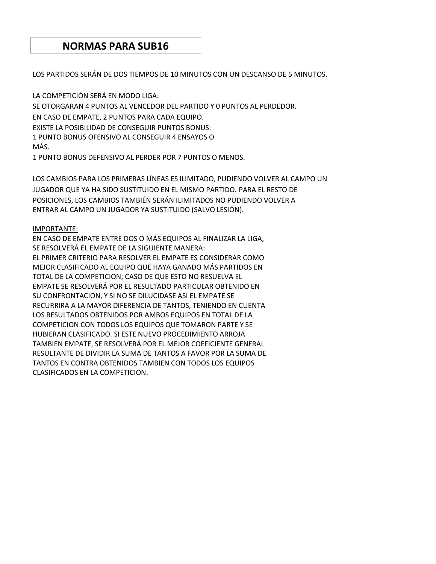### **NORMAS PARA SUB16**

LOS PARTIDOS SERÁN DE DOS TIEMPOS DE 10 MINUTOS CON UN DESCANSO DE 5 MINUTOS.

LA COMPETICIÓN SERÁ EN MODO LIGA: SE OTORGARAN 4 PUNTOS AL VENCEDOR DEL PARTIDO Y 0 PUNTOS AL PERDEDOR. EN CASO DE EMPATE, 2 PUNTOS PARA CADA EQUIPO. EXISTE LA POSIBILIDAD DE CONSEGUIR PUNTOS BONUS: 1 PUNTO BONUS OFENSIVO AL CONSEGUIR 4 ENSAYOS O MÁS.

1 PUNTO BONUS DEFENSIVO AL PERDER POR 7 PUNTOS O MENOS.

LOS CAMBIOS PARA LOS PRIMERAS LÍNEAS ES ILIMITADO, PUDIENDO VOLVER AL CAMPO UN JUGADOR QUE YA HA SIDO SUSTITUIDO EN EL MISMO PARTIDO. PARA EL RESTO DE POSICIONES, LOS CAMBIOS TAMBIÉN SERÁN ILIMITADOS NO PUDIENDO VOLVER A ENTRAR AL CAMPO UN JUGADOR YA SUSTITUIDO (SALVO LESIÓN).

#### IMPORTANTE:

EN CASO DE EMPATE ENTRE DOS O MÁS EQUIPOS AL FINALIZAR LA LIGA, SE RESOLVERÁ EL EMPATE DE LA SIGUIENTE MANERA: EL PRIMER CRITERIO PARA RESOLVER EL EMPATE ES CONSIDERAR COMO MEJOR CLASIFICADO AL EQUIPO QUE HAYA GANADO MÁS PARTIDOS EN TOTAL DE LA COMPETICION; CASO DE QUE ESTO NO RESUELVA EL EMPATE SE RESOLVERÁ POR EL RESULTADO PARTICULAR OBTENIDO EN SU CONFRONTACION, Y SI NO SE DILUCIDASE ASI EL EMPATE SE RECURRIRA A LA MAYOR DIFERENCIA DE TANTOS, TENIENDO EN CUENTA LOS RESULTADOS OBTENIDOS POR AMBOS EQUIPOS EN TOTAL DE LA COMPETICION CON TODOS LOS EQUIPOS QUE TOMARON PARTE Y SE HUBIERAN CLASIFICADO. SI ESTE NUEVO PROCEDIMIENTO ARROJA TAMBIEN EMPATE, SE RESOLVERÁ POR EL MEJOR COEFICIENTE GENERAL RESULTANTE DE DIVIDIR LA SUMA DE TANTOS A FAVOR POR LA SUMA DE TANTOS EN CONTRA OBTENIDOS TAMBIEN CON TODOS LOS EQUIPOS CLASIFICADOS EN LA COMPETICION.